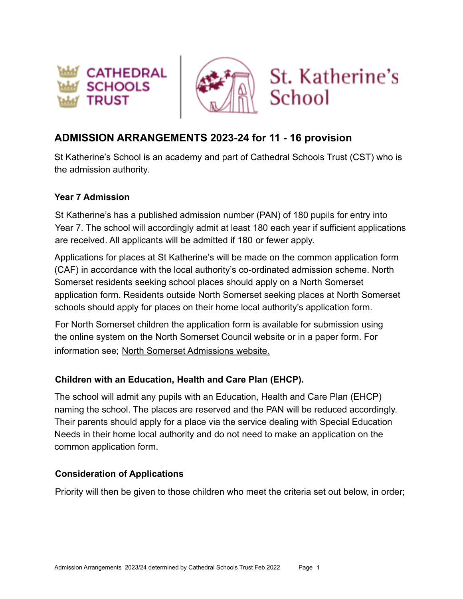





# **ADMISSION ARRANGEMENTS 2023-24 for 11 - 16 provision**

St Katherine's School is an academy and part of Cathedral Schools Trust (CST) who is the admission authority.

#### **Year 7 Admission**

St Katherine's has a published admission number (PAN) of 180 pupils for entry into Year 7. The school will accordingly admit at least 180 each year if sufficient applications are received. All applicants will be admitted if 180 or fewer apply.

Applications for places at St Katherine's will be made on the common application form (CAF) in accordance with the local authority's co-ordinated admission scheme. North Somerset residents seeking school places should apply on a North Somerset application form. Residents outside North Somerset seeking places at North Somerset schools should apply for places on their home local authority's application form.

For North Somerset children the application form is available for submission using the online system on the North Somerset Council website or in a paper form. For information see; [North Somerset Admissions website.](https://www.n-somerset.gov.uk/my-services/schools-learning/school-admissions/applying-school-place)

# **Children with an Education, Health and Care Plan (EHCP).**

The school will admit any pupils with an Education, Health and Care Plan (EHCP) naming the school. The places are reserved and the PAN will be reduced accordingly. Their parents should apply for a place via the service dealing with Special Education Needs in their home local authority and do not need to make an application on the common application form.

# **Consideration of Applications**

Priority will then be given to those children who meet the criteria set out below, in order;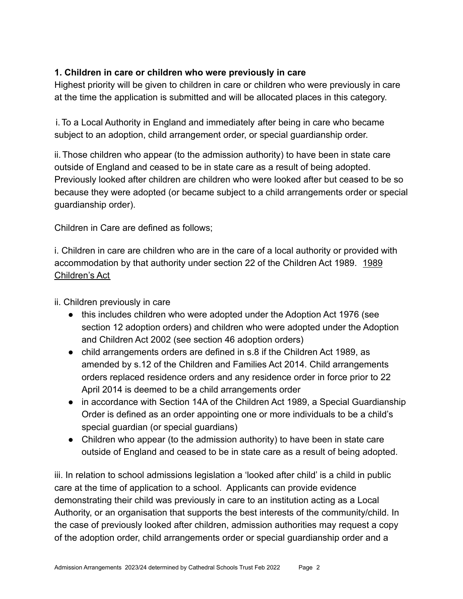# **1. Children in care or children who were previously in care**

Highest priority will be given to children in care or children who were previously in care at the time the application is submitted and will be allocated places in this category.

i.To a Local Authority in England and immediately after being in care who became subject to an adoption, child arrangement order, or special guardianship order.

ii.Those children who appear (to the admission authority) to have been in state care outside of England and ceased to be in state care as a result of being adopted. Previously looked after children are children who were looked after but ceased to be so because they were adopted (or became subject to a child arrangements order or special guardianship order).

Children in Care are defined as follows;

i. Children in care are children who are in the care of a local authority or provided with accommodation by that authority under section 22 of the Children Act 1989. [1989](https://www.legislation.gov.uk/ukpga/1989/41/contents) [Children's Act](https://www.legislation.gov.uk/ukpga/1989/41/contents)

ii. Children previously in care

- this includes children who were adopted under the Adoption Act 1976 (see section 12 adoption orders) and children who were adopted under the Adoption and Children Act 2002 (see section 46 adoption orders)
- child arrangements orders are defined in s.8 if the Children Act 1989, as amended by s.12 of the Children and Families Act 2014. Child arrangements orders replaced residence orders and any residence order in force prior to 22 April 2014 is deemed to be a child arrangements order
- in accordance with Section 14A of the Children Act 1989, a Special Guardianship Order is defined as an order appointing one or more individuals to be a child's special guardian (or special guardians)
- Children who appear (to the admission authority) to have been in state care outside of England and ceased to be in state care as a result of being adopted.

iii. In relation to school admissions legislation a 'looked after child' is a child in public care at the time of application to a school. Applicants can provide evidence demonstrating their child was previously in care to an institution acting as a Local Authority, or an organisation that supports the best interests of the community/child. In the case of previously looked after children, admission authorities may request a copy of the adoption order, child arrangements order or special guardianship order and a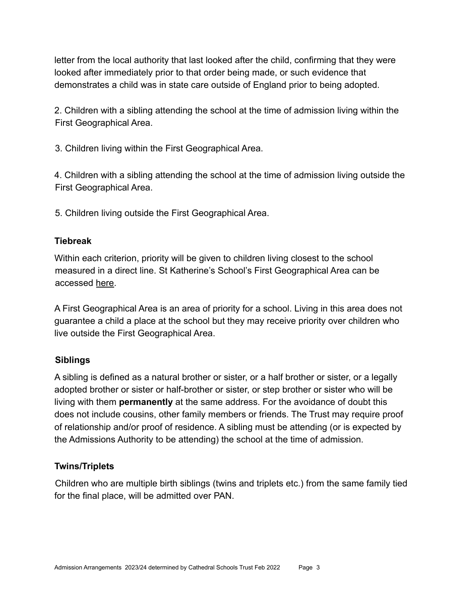letter from the local authority that last looked after the child, confirming that they were looked after immediately prior to that order being made, or such evidence that demonstrates a child was in state care outside of England prior to being adopted.

2. Children with a sibling attending the school at the time of admission living within the First Geographical Area.

3. Children living within the First Geographical Area.

4. Children with a sibling attending the school at the time of admission living outside the First Geographical Area.

5. Children living outside the First Geographical Area.

### **Tiebreak**

Within each criterion, priority will be given to children living closest to the school measured in a direct line. St Katherine's School's First Geographical Area can be accessed [here.](https://drive.google.com/file/d/1SR_u75qo8tnZSMKEYhvTsY0pyOjAn8To/view?usp=sharing)

A First Geographical Area is an area of priority for a school. Living in this area does not guarantee a child a place at the school but they may receive priority over children who live outside the First Geographical Area.

# **Siblings**

A sibling is defined as a natural brother or sister, or a half brother or sister, or a legally adopted brother or sister or half-brother or sister, or step brother or sister who will be living with them **permanently** at the same address. For the avoidance of doubt this does not include cousins, other family members or friends. The Trust may require proof of relationship and/or proof of residence. A sibling must be attending (or is expected by the Admissions Authority to be attending) the school at the time of admission.

# **Twins/Triplets**

Children who are multiple birth siblings (twins and triplets etc.) from the same family tied for the final place, will be admitted over PAN.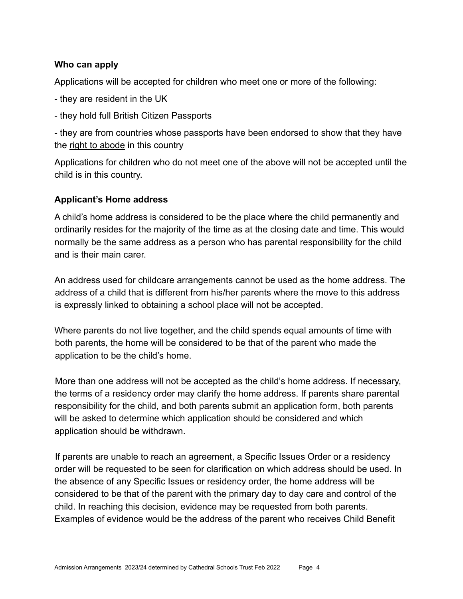#### **Who can apply**

Applications will be accepted for children who meet one or more of the following:

- they are resident in the UK

- they hold full British Citizen Passports

- they are from countries whose passports have been endorsed to show that they have the [right to abode](https://www.gov.uk/right-of-abode) in this country

Applications for children who do not meet one of the above will not be accepted until the child is in this country.

#### **Applicant's Home address**

A child's home address is considered to be the place where the child permanently and ordinarily resides for the majority of the time as at the closing date and time. This would normally be the same address as a person who has parental responsibility for the child and is their main carer.

An address used for childcare arrangements cannot be used as the home address. The address of a child that is different from his/her parents where the move to this address is expressly linked to obtaining a school place will not be accepted.

Where parents do not live together, and the child spends equal amounts of time with both parents, the home will be considered to be that of the parent who made the application to be the child's home.

More than one address will not be accepted as the child's home address. If necessary, the terms of a residency order may clarify the home address. If parents share parental responsibility for the child, and both parents submit an application form, both parents will be asked to determine which application should be considered and which application should be withdrawn.

If parents are unable to reach an agreement, a Specific Issues Order or a residency order will be requested to be seen for clarification on which address should be used. In the absence of any Specific Issues or residency order, the home address will be considered to be that of the parent with the primary day to day care and control of the child. In reaching this decision, evidence may be requested from both parents. Examples of evidence would be the address of the parent who receives Child Benefit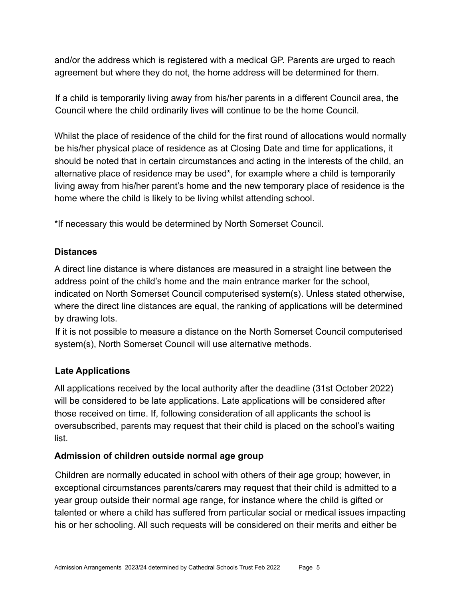and/or the address which is registered with a medical GP. Parents are urged to reach agreement but where they do not, the home address will be determined for them.

If a child is temporarily living away from his/her parents in a different Council area, the Council where the child ordinarily lives will continue to be the home Council.

Whilst the place of residence of the child for the first round of allocations would normally be his/her physical place of residence as at Closing Date and time for applications, it should be noted that in certain circumstances and acting in the interests of the child, an alternative place of residence may be used\*, for example where a child is temporarily living away from his/her parent's home and the new temporary place of residence is the home where the child is likely to be living whilst attending school.

\*If necessary this would be determined by North Somerset Council.

#### **Distances**

A direct line distance is where distances are measured in a straight line between the address point of the child's home and the main entrance marker for the school, indicated on North Somerset Council computerised system(s). Unless stated otherwise, where the direct line distances are equal, the ranking of applications will be determined by drawing lots.

If it is not possible to measure a distance on the North Somerset Council computerised system(s), North Somerset Council will use alternative methods.

# **Late Applications**

All applications received by the local authority after the deadline (31st October 2022) will be considered to be late applications. Late applications will be considered after those received on time. If, following consideration of all applicants the school is oversubscribed, parents may request that their child is placed on the school's waiting list.

#### **Admission of children outside normal age group**

Children are normally educated in school with others of their age group; however, in exceptional circumstances parents/carers may request that their child is admitted to a year group outside their normal age range, for instance where the child is gifted or talented or where a child has suffered from particular social or medical issues impacting his or her schooling. All such requests will be considered on their merits and either be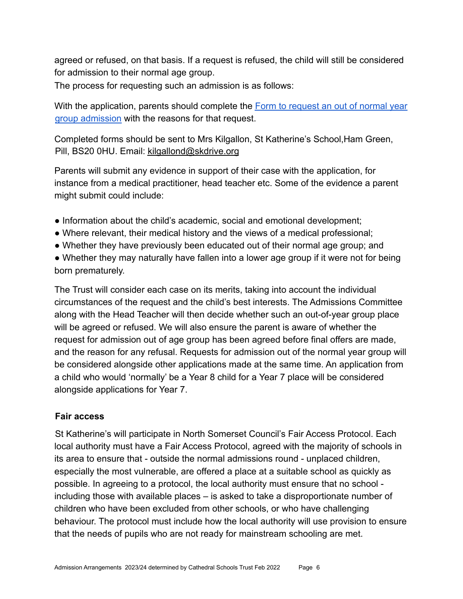agreed or refused, on that basis. If a request is refused, the child will still be considered for admission to their normal age group.

The process for requesting such an admission is as follows:

With the application, parents should complete the **[Form to request an out of normal year](https://docs.google.com/document/d/1VhpeDP41HM8kjn_vDtLJPDei7dYqLFXN/edit?usp=sharing&ouid=111971969837556975984&rtpof=true&sd=true)** [group admission](https://docs.google.com/document/d/1VhpeDP41HM8kjn_vDtLJPDei7dYqLFXN/edit?usp=sharing&ouid=111971969837556975984&rtpof=true&sd=true) with the reasons for that request.

Completed forms should be sent to Mrs Kilgallon, St Katherine's School,Ham Green, Pill, BS20 0HU. Email: kilgallond@skdrive.org

Parents will submit any evidence in support of their case with the application, for instance from a medical practitioner, head teacher etc. Some of the evidence a parent might submit could include:

- Information about the child's academic, social and emotional development;
- Where relevant, their medical history and the views of a medical professional;
- Whether they have previously been educated out of their normal age group; and
- Whether they may naturally have fallen into a lower age group if it were not for being born prematurely.

The Trust will consider each case on its merits, taking into account the individual circumstances of the request and the child's best interests. The Admissions Committee along with the Head Teacher will then decide whether such an out-of-year group place will be agreed or refused. We will also ensure the parent is aware of whether the request for admission out of age group has been agreed before final offers are made, and the reason for any refusal. Requests for admission out of the normal year group will be considered alongside other applications made at the same time. An application from a child who would 'normally' be a Year 8 child for a Year 7 place will be considered alongside applications for Year 7.

#### **Fair access**

St Katherine's will participate in North Somerset Council's Fair Access Protocol. Each local authority must have a Fair Access Protocol, agreed with the majority of schools in its area to ensure that - outside the normal admissions round - unplaced children, especially the most vulnerable, are offered a place at a suitable school as quickly as possible. In agreeing to a protocol, the local authority must ensure that no school including those with available places – is asked to take a disproportionate number of children who have been excluded from other schools, or who have challenging behaviour. The protocol must include how the local authority will use provision to ensure that the needs of pupils who are not ready for mainstream schooling are met.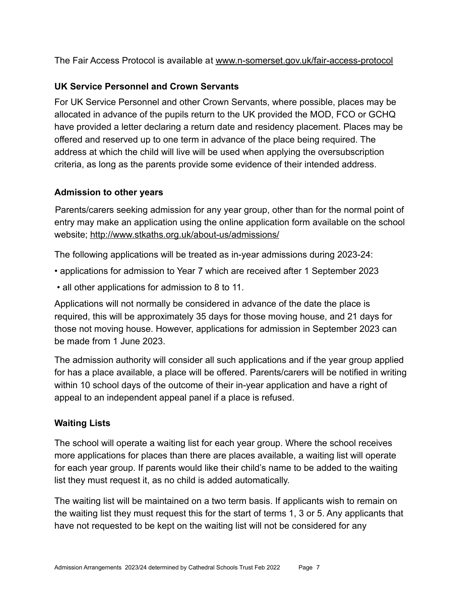The Fair Access Protocol is available at [www.n-somerset.gov.uk/fair-access-protocol](http://www.n-somerset.gov.uk/fair-access-protocol)

#### **UK Service Personnel and Crown Servants**

For UK Service Personnel and other Crown Servants, where possible, places may be allocated in advance of the pupils return to the UK provided the MOD, FCO or GCHQ have provided a letter declaring a return date and residency placement. Places may be offered and reserved up to one term in advance of the place being required. The address at which the child will live will be used when applying the oversubscription criteria, as long as the parents provide some evidence of their intended address.

#### **Admission to other years**

Parents/carers seeking admission for any year group, other than for the normal point of entry may make an application using the online application form available on the school website; <http://www.stkaths.org.uk/about-us/admissions/>

The following applications will be treated as in-year admissions during 2023-24:

- applications for admission to Year 7 which are received after 1 September 2023
- all other applications for admission to 8 to 11.

Applications will not normally be considered in advance of the date the place is required, this will be approximately 35 days for those moving house, and 21 days for those not moving house. However, applications for admission in September 2023 can be made from 1 June 2023.

The admission authority will consider all such applications and if the year group applied for has a place available, a place will be offered. Parents/carers will be notified in writing within 10 school days of the outcome of their in-year application and have a right of appeal to an independent appeal panel if a place is refused.

# **Waiting Lists**

The school will operate a waiting list for each year group. Where the school receives more applications for places than there are places available, a waiting list will operate for each year group. If parents would like their child's name to be added to the waiting list they must request it, as no child is added automatically.

The waiting list will be maintained on a two term basis. If applicants wish to remain on the waiting list they must request this for the start of terms 1, 3 or 5. Any applicants that have not requested to be kept on the waiting list will not be considered for any